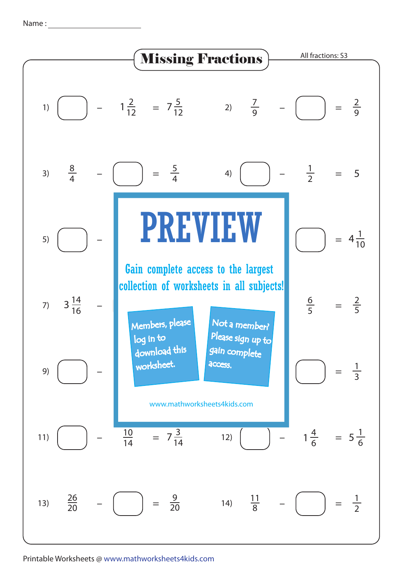